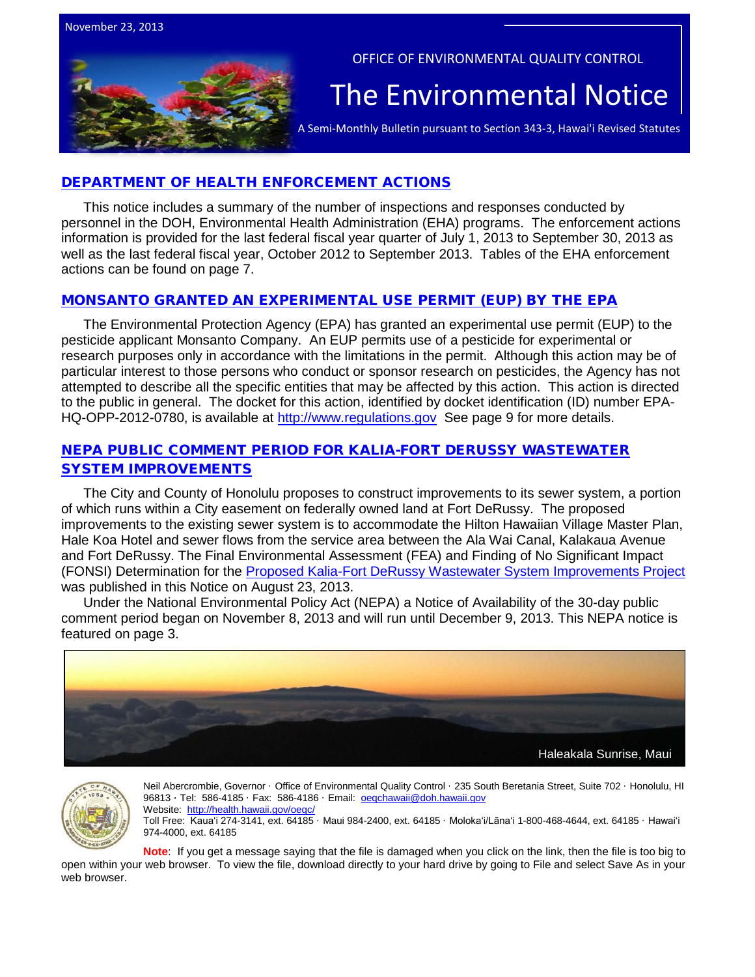

OFFICE OF ENVIRONMENTAL QUALITY CONTROL

# The Environmental Notice  $|$ <br>A Semi-Monthly Bulletin pursuant to Section 343-3, Hawai'i Revised Statutes

# DEPARTMENT OF HEALTH ENFORCEMENT ACTIONS

This notice includes a summary of the number of inspections and responses conducted by personnel in the DOH, Environmental Health Administration (EHA) programs. The enforcement actions information is provided for the last federal fiscal year quarter of July 1, 2013 to September 30, 2013 as well as the last federal fiscal year, October 2012 to September 2013. Tables of the EHA enforcement actions can be found on page 7.

# MONSANTO [GRANTED AN EXPERIMENTAL USE PERMIT \(EUP\) BY THE EPA](http://www.gpo.gov/fdsys/pkg/FR-2013-11-21/pdf/2013-27994.pdf)

The Environmental Protection Agency (EPA) has granted an experimental use permit (EUP) to the pesticide applicant Monsanto Company. An EUP permits use of a pesticide for experimental or research purposes only in accordance with the limitations in the permit. Although this action may be of particular interest to those persons who conduct or sponsor research on pesticides, the Agency has not attempted to describe all the specific entities that may be affected by this action. This action is directed to the public in general. The docket for this action, identified by docket identification (ID) number EPAHQ-OPP-2012-0780, is available at [http://www.regulations.gov](http://www.regulations.gov/) See page 9 for more details.

# [NEPA PUBLIC COMMENT PERIOD FOR KALIA-FORT DERUSSY WASTEWATER](http://oeqc.doh.hawaii.gov/Shared%20Documents/EA_and_EIS_Online_Library/Oahu/2010s/2013-08-23-OA-5B-FEA-Kalia-Fort-DeRussy-Wastewater-System-Improvements.pdf)  [SYSTEM IMPROVEMENTS](http://oeqc.doh.hawaii.gov/Shared%20Documents/EA_and_EIS_Online_Library/Oahu/2010s/2013-08-23-OA-5B-FEA-Kalia-Fort-DeRussy-Wastewater-System-Improvements.pdf)

The City and County of Honolulu proposes to construct improvements to its sewer system, a portion of which runs within a City easement on federally owned land at Fort DeRussy. The proposed improvements to the existing sewer system is to accommodate the Hilton Hawaiian Village Master Plan, Hale Koa Hotel and sewer flows from the service area between the Ala Wai Canal, Kalakaua Avenue and Fort DeRussy. The Final Environmental Assessment (FEA) and Finding of No Significant Impact (FONSI) Determination for the [Proposed Kalia-Fort DeRussy Wastewater System Improvements Project](http://oeqc.doh.hawaii.gov/Shared%20Documents/EA_and_EIS_Online_Library/Oahu/2010s/2013-08-23-OA-5B-FEA-Kalia-Fort-DeRussy-Wastewater-System-Improvements.pdf) was published in this Notice on August 23, 2013.

Under the National Environmental Policy Act (NEPA) a Notice of Availability of the 30-day public comment period began on November 8, 2013 and will run until December 9, 2013. This NEPA notice is featured on page 3.





Neil Abercrombie, Governor · Office of Environmental Quality Control · 235 South Beretania Street, Suite 702 · Honolulu, HI 96813 ∙ Tel: 586-4185 · Fax: 586-4186 · Email: [oeqchawaii@doh.hawaii.gov](mailto:oeqchawaii@doh.hawaii.gov)  Website: http://health.hawaii.gov/oeqc Toll Free: Kauaʻi 274-3141, ext. 64185 · Maui 984-2400, ext. 64185 · Molokaʻi/Lānaʻi 1-800-468-4644, ext. 64185 · Hawaiʻi 974-4000, ext. 64185

**Note**: If you get a message saying that the file is damaged when you click on the link, then the file is too big to open within your web browser. To view the file, download directly to your hard drive by going to File and select Save As in your web browser.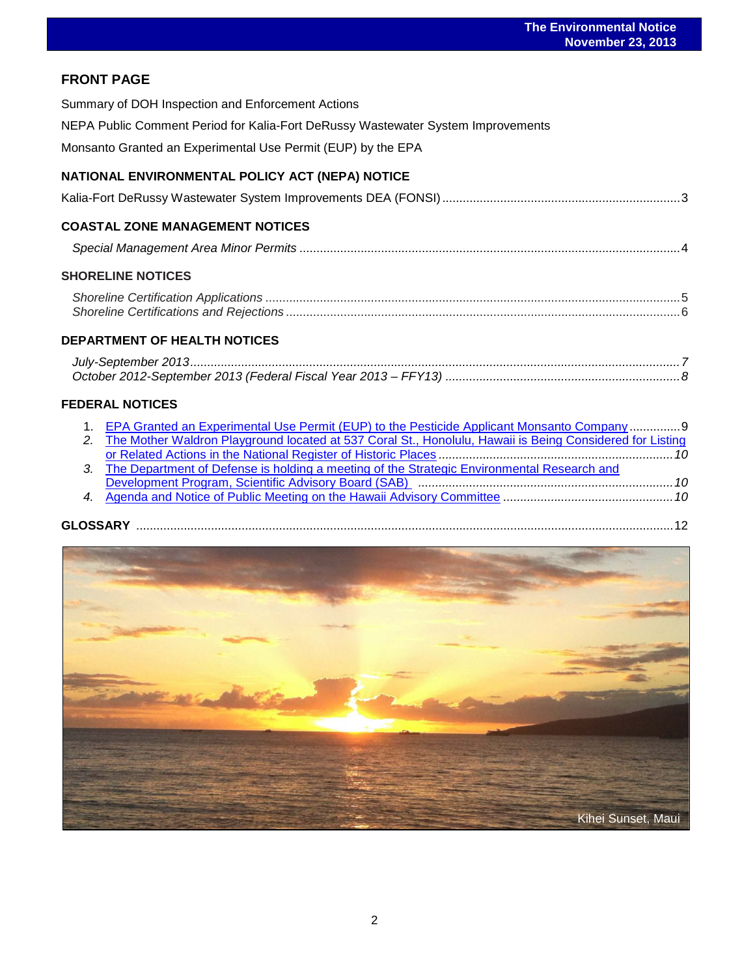# **FRONT PAGE**

| FRUNI PAGE                                                                                                  |
|-------------------------------------------------------------------------------------------------------------|
| Summary of DOH Inspection and Enforcement Actions                                                           |
| NEPA Public Comment Period for Kalia-Fort DeRussy Wastewater System Improvements                            |
| Monsanto Granted an Experimental Use Permit (EUP) by the EPA                                                |
| NATIONAL ENVIRONMENTAL POLICY ACT (NEPA) NOTICE                                                             |
|                                                                                                             |
| <b>COASTAL ZONE MANAGEMENT NOTICES</b>                                                                      |
|                                                                                                             |
| <b>SHORELINE NOTICES</b>                                                                                    |
|                                                                                                             |
|                                                                                                             |
| <b>DEPARTMENT OF HEALTH NOTICES</b>                                                                         |
|                                                                                                             |
|                                                                                                             |
| <b>FEDERAL NOTICES</b>                                                                                      |
| 1. EPA Granted an Experimental Use Permit (EUP) to the Pesticide Applicant Monsanto Company9                |
| 2. The Mother Waldron Playground located at 537 Coral St., Honolulu, Hawaii is Being Considered for Listing |
| The Department of Defense is holding a meeting of the Strategic Environmental Research and<br>3.            |

| <b>GLOSSARY</b> |  |  |
|-----------------|--|--|
|-----------------|--|--|

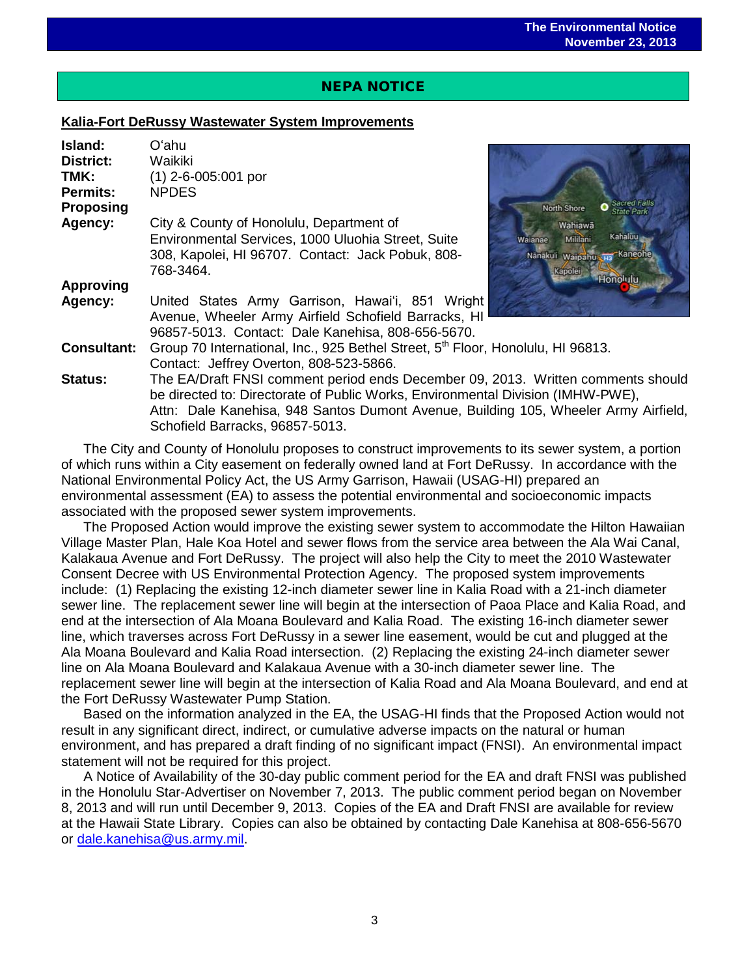# NEPA NOTICE

 $\overline{a}$ 

# **Kalia-Fort DeRussy Wastewater System Improvements**

| Island:<br>District:<br>TMK: | Oʻahu<br>Waikiki<br>$(1)$ 2-6-005:001 por                                                                                              |
|------------------------------|----------------------------------------------------------------------------------------------------------------------------------------|
| <b>Permits:</b>              | <b>NPDES</b>                                                                                                                           |
| <b>Proposing</b>             | <b>North Shore</b><br><b>State Parl</b>                                                                                                |
| Agency:                      | City & County of Honolulu, Department of<br>Wahiawā                                                                                    |
|                              | <b>Kahaluu</b><br>Environmental Services, 1000 Uluohia Street, Suite<br>Mililani<br>Walanae                                            |
|                              | 308, Kapolei, HI 96707. Contact: Jack Pobuk, 808-<br>Kaneohe<br>Nānākuli Waipahu<br>768-3464.<br>apoler                                |
| <b>Approving</b>             | <b>Honolulu</b>                                                                                                                        |
| Agency:                      | United States Army Garrison, Hawai'i, 851 Wright<br>Avenue, Wheeler Army Airfield Schofield Barracks, HI                               |
| <b>Consultant:</b>           | 96857-5013. Contact: Dale Kanehisa, 808-656-5670.                                                                                      |
|                              | Group 70 International, Inc., 925 Bethel Street, 5 <sup>th</sup> Floor, Honolulu, HI 96813.<br>Contact: Jeffrey Overton, 808-523-5866. |
| <b>Status:</b>               | The EA/Draft FNSI comment period ends December 09, 2013. Written comments should                                                       |
|                              | be directed to: Directorate of Public Works, Environmental Division (IMHW-PWE),                                                        |
|                              | Attn: Dale Kanehisa, 948 Santos Dumont Avenue, Building 105, Wheeler Army Airfield,                                                    |
|                              | Schofield Barracks, 96857-5013.                                                                                                        |

The City and County of Honolulu proposes to construct improvements to its sewer system, a portion of which runs within a City easement on federally owned land at Fort DeRussy. In accordance with the National Environmental Policy Act, the US Army Garrison, Hawaii (USAG-HI) prepared an environmental assessment (EA) to assess the potential environmental and socioeconomic impacts associated with the proposed sewer system improvements.

The Proposed Action would improve the existing sewer system to accommodate the Hilton Hawaiian Village Master Plan, Hale Koa Hotel and sewer flows from the service area between the Ala Wai Canal, Kalakaua Avenue and Fort DeRussy. The project will also help the City to meet the 2010 Wastewater Consent Decree with US Environmental Protection Agency. The proposed system improvements include: (1) Replacing the existing 12-inch diameter sewer line in Kalia Road with a 21-inch diameter sewer line. The replacement sewer line will begin at the intersection of Paoa Place and Kalia Road, and end at the intersection of Ala Moana Boulevard and Kalia Road. The existing 16-inch diameter sewer line, which traverses across Fort DeRussy in a sewer line easement, would be cut and plugged at the Ala Moana Boulevard and Kalia Road intersection. (2) Replacing the existing 24-inch diameter sewer line on Ala Moana Boulevard and Kalakaua Avenue with a 30-inch diameter sewer line. The replacement sewer line will begin at the intersection of Kalia Road and Ala Moana Boulevard, and end at the Fort DeRussy Wastewater Pump Station.

Based on the information analyzed in the EA, the USAG-HI finds that the Proposed Action would not result in any significant direct, indirect, or cumulative adverse impacts on the natural or human environment, and has prepared a draft finding of no significant impact (FNSI). An environmental impact statement will not be required for this project.

A Notice of Availability of the 30-day public comment period for the EA and draft FNSI was published in the Honolulu Star-Advertiser on November 7, 2013. The public comment period began on November 8, 2013 and will run until December 9, 2013. Copies of the EA and Draft FNSI are available for review at the Hawaii State Library. Copies can also be obtained by contacting Dale Kanehisa at 808-656-5670 or [dale.kanehisa@us.army.mil.](mailto:dale.kanehisa@us.army.mil)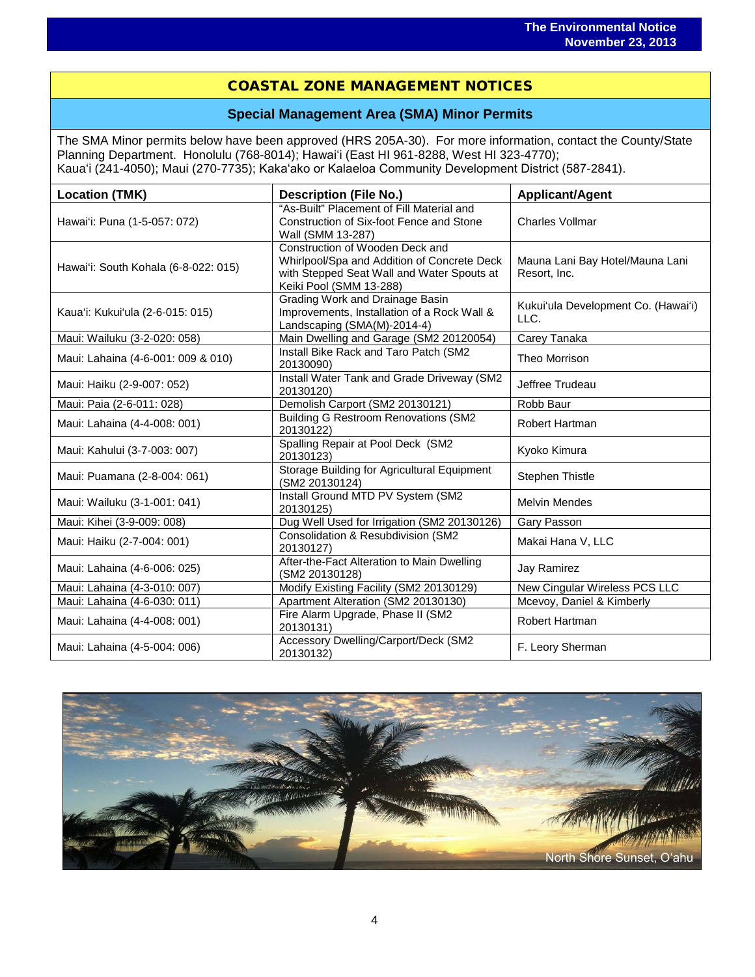# COASTAL ZONE MANAGEMENT NOTICES

# **Special Management Area (SMA) Minor Permits**

The SMA Minor permits below have been approved (HRS 205A-30). For more information, contact the County/State Planning Department. Honolulu (768-8014); Hawaiʻi (East HI 961-8288, West HI 323-4770); Kauaʻi (241-4050); Maui (270-7735); Kakaʻako or Kalaeloa Community Development District (587-2841).

| <b>Location (TMK)</b>                | <b>Description (File No.)</b>                                                                                                                           | <b>Applicant/Agent</b>                          |
|--------------------------------------|---------------------------------------------------------------------------------------------------------------------------------------------------------|-------------------------------------------------|
| Hawai'i: Puna (1-5-057: 072)         | "As-Built" Placement of Fill Material and<br>Construction of Six-foot Fence and Stone<br>Wall (SMM 13-287)                                              | <b>Charles Vollmar</b>                          |
| Hawai'i: South Kohala (6-8-022: 015) | Construction of Wooden Deck and<br>Whirlpool/Spa and Addition of Concrete Deck<br>with Stepped Seat Wall and Water Spouts at<br>Keiki Pool (SMM 13-288) | Mauna Lani Bay Hotel/Mauna Lani<br>Resort, Inc. |
| Kaua'i: Kukui'ula (2-6-015: 015)     | Grading Work and Drainage Basin<br>Improvements, Installation of a Rock Wall &<br>Landscaping (SMA(M)-2014-4)                                           | Kukui'ula Development Co. (Hawai'i)<br>LLC.     |
| Maui: Wailuku (3-2-020: 058)         | Main Dwelling and Garage (SM2 20120054)                                                                                                                 | Carey Tanaka                                    |
| Maui: Lahaina (4-6-001: 009 & 010)   | Install Bike Rack and Taro Patch (SM2<br>20130090)                                                                                                      | Theo Morrison                                   |
| Maui: Haiku (2-9-007: 052)           | Install Water Tank and Grade Driveway (SM2<br>20130120)                                                                                                 | Jeffree Trudeau                                 |
| Maui: Paia (2-6-011: 028)            | Demolish Carport (SM2 20130121)                                                                                                                         | Robb Baur                                       |
| Maui: Lahaina (4-4-008: 001)         | <b>Building G Restroom Renovations (SM2</b><br>20130122)                                                                                                | <b>Robert Hartman</b>                           |
| Maui: Kahului (3-7-003: 007)         | Spalling Repair at Pool Deck (SM2<br>20130123)                                                                                                          | Kyoko Kimura                                    |
| Maui: Puamana (2-8-004: 061)         | Storage Building for Agricultural Equipment<br>(SM2 20130124)                                                                                           | Stephen Thistle                                 |
| Maui: Wailuku (3-1-001: 041)         | Install Ground MTD PV System (SM2<br>20130125)                                                                                                          | <b>Melvin Mendes</b>                            |
| Maui: Kihei (3-9-009: 008)           | Dug Well Used for Irrigation (SM2 20130126)                                                                                                             | Gary Passon                                     |
| Maui: Haiku (2-7-004: 001)           | Consolidation & Resubdivision (SM2<br>20130127)                                                                                                         | Makai Hana V, LLC                               |
| Maui: Lahaina (4-6-006: 025)         | After-the-Fact Alteration to Main Dwelling<br>(SM2 20130128)                                                                                            | Jay Ramirez                                     |
| Maui: Lahaina (4-3-010: 007)         | Modify Existing Facility (SM2 20130129)                                                                                                                 | New Cingular Wireless PCS LLC                   |
| Maui: Lahaina (4-6-030: 011)         | Apartment Alteration (SM2 20130130)                                                                                                                     | Mcevoy, Daniel & Kimberly                       |
| Maui: Lahaina (4-4-008: 001)         | Fire Alarm Upgrade, Phase II (SM2<br>20130131)                                                                                                          | Robert Hartman                                  |
| Maui: Lahaina (4-5-004: 006)         | Accessory Dwelling/Carport/Deck (SM2<br>20130132)                                                                                                       | F. Leory Sherman                                |

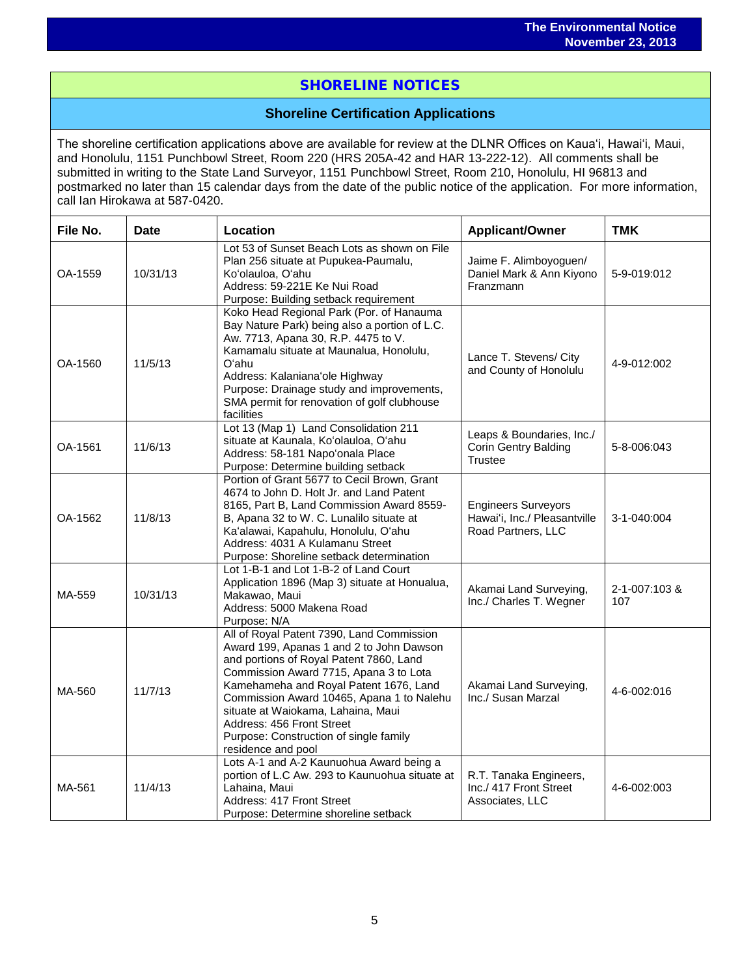# SHORELINE NOTICES

# **Shoreline Certification Applications**

The shoreline certification applications above are available for review at the DLNR Offices on Kauaʻi, Hawaiʻi, Maui, and Honolulu, 1151 Punchbowl Street, Room 220 (HRS 205A-42 and HAR 13-222-12). All comments shall be submitted in writing to the State Land Surveyor, 1151 Punchbowl Street, Room 210, Honolulu, HI 96813 and postmarked no later than 15 calendar days from the date of the public notice of the application. For more information, call Ian Hirokawa at 587-0420.

| File No. | <b>Date</b> | Location                                                                                                                                                                                                                                                                                                                                                                                             | <b>Applicant/Owner</b>                                                           | <b>TMK</b>           |
|----------|-------------|------------------------------------------------------------------------------------------------------------------------------------------------------------------------------------------------------------------------------------------------------------------------------------------------------------------------------------------------------------------------------------------------------|----------------------------------------------------------------------------------|----------------------|
| OA-1559  | 10/31/13    | Lot 53 of Sunset Beach Lots as shown on File<br>Plan 256 situate at Pupukea-Paumalu,<br>Ko'olauloa, O'ahu<br>Address: 59-221E Ke Nui Road<br>Purpose: Building setback requirement                                                                                                                                                                                                                   | Jaime F. Alimboyoguen/<br>Daniel Mark & Ann Kiyono<br>Franzmann                  | 5-9-019:012          |
| OA-1560  | 11/5/13     | Koko Head Regional Park (Por. of Hanauma<br>Bay Nature Park) being also a portion of L.C.<br>Aw. 7713, Apana 30, R.P. 4475 to V.<br>Kamamalu situate at Maunalua, Honolulu,<br>O'ahu<br>Address: Kalaniana'ole Highway<br>Purpose: Drainage study and improvements,<br>SMA permit for renovation of golf clubhouse<br>facilities                                                                     | Lance T. Stevens/ City<br>and County of Honolulu                                 | 4-9-012:002          |
| OA-1561  | 11/6/13     | Lot 13 (Map 1) Land Consolidation 211<br>situate at Kaunala, Ko'olauloa, O'ahu<br>Address: 58-181 Napo'onala Place<br>Purpose: Determine building setback                                                                                                                                                                                                                                            | Leaps & Boundaries, Inc./<br>Corin Gentry Balding<br><b>Trustee</b>              | 5-8-006:043          |
| OA-1562  | 11/8/13     | Portion of Grant 5677 to Cecil Brown, Grant<br>4674 to John D. Holt Jr. and Land Patent<br>8165, Part B, Land Commission Award 8559-<br>B, Apana 32 to W. C. Lunalilo situate at<br>Ka'alawai, Kapahulu, Honolulu, O'ahu<br>Address: 4031 A Kulamanu Street<br>Purpose: Shoreline setback determination                                                                                              | <b>Engineers Surveyors</b><br>Hawai'i, Inc./ Pleasantville<br>Road Partners, LLC | 3-1-040:004          |
| MA-559   | 10/31/13    | Lot 1-B-1 and Lot 1-B-2 of Land Court<br>Application 1896 (Map 3) situate at Honualua,<br>Makawao, Maui<br>Address: 5000 Makena Road<br>Purpose: N/A                                                                                                                                                                                                                                                 | Akamai Land Surveying,<br>Inc./ Charles T. Wegner                                | 2-1-007:103 &<br>107 |
| MA-560   | 11/7/13     | All of Royal Patent 7390, Land Commission<br>Award 199, Apanas 1 and 2 to John Dawson<br>and portions of Royal Patent 7860, Land<br>Commission Award 7715, Apana 3 to Lota<br>Kamehameha and Royal Patent 1676, Land<br>Commission Award 10465, Apana 1 to Nalehu<br>situate at Waiokama, Lahaina, Maui<br>Address: 456 Front Street<br>Purpose: Construction of single family<br>residence and pool | Akamai Land Surveying,<br>Inc./ Susan Marzal                                     | 4-6-002:016          |
| MA-561   | 11/4/13     | Lots A-1 and A-2 Kaunuohua Award being a<br>portion of L.C Aw. 293 to Kaunuohua situate at<br>Lahaina, Maui<br>Address: 417 Front Street<br>Purpose: Determine shoreline setback                                                                                                                                                                                                                     | R.T. Tanaka Engineers,<br>Inc./ 417 Front Street<br>Associates, LLC              | 4-6-002:003          |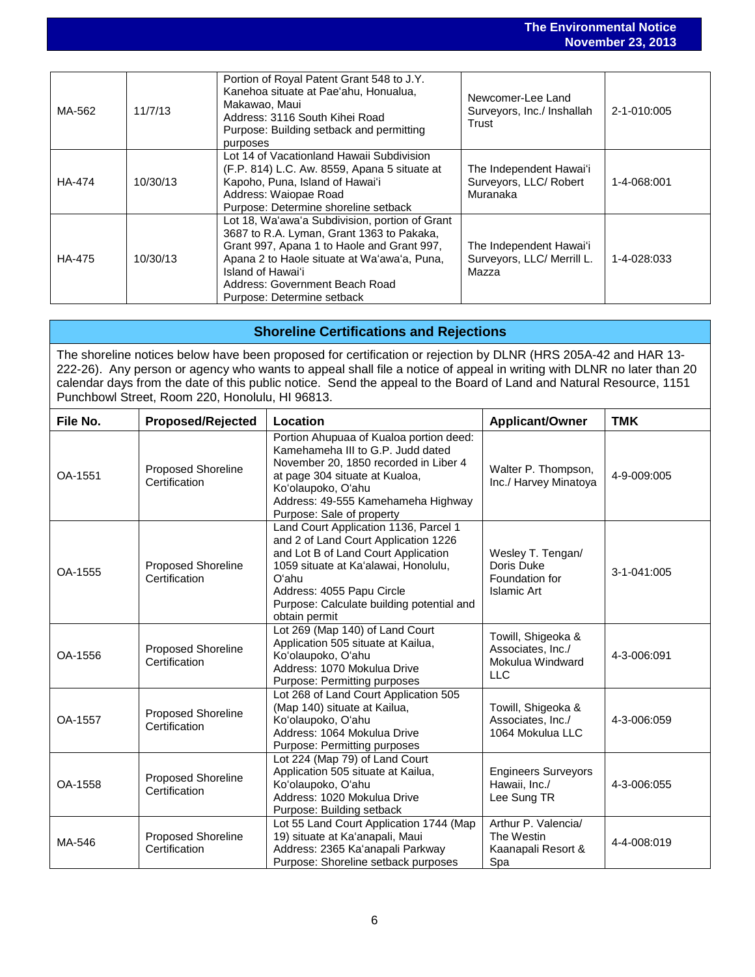#### **The Environmental Notice November 23, 2013** MA-562 11/7/13 Portion of Royal Patent Grant 548 to J.Y. Kanehoa situate at Paeʻahu, Honualua, Makawao, Maui Address: 3116 South Kihei Road Purpose: Building setback and permitting purposes Newcomer-Lee Land Surveyors, Inc./ Inshallah **Trust** 2-1-010:005 HA-474 10/30/13 Lot 14 of Vacationland Hawaii Subdivision (F.P. 814) L.C. Aw. 8559, Apana 5 situate at Kapoho, Puna, Island of Hawaiʻi Address: Waiopae Road Purpose: Determine shoreline setback The Independent Hawaiʻi Surveyors, LLC/ Robert Muranaka 1-4-068:001 HA-475 10/30/13 Lot 18, Waʻawaʻa Subdivision, portion of Grant 3687 to R.A. Lyman, Grant 1363 to Pakaka, Grant 997, Apana 1 to Haole and Grant 997, Apana 2 to Haole situate at Waʻawaʻa, Puna, Island of Hawaiʻi Address: Government Beach Road Purpose: Determine setback The Independent Hawaiʻi Surveyors, LLC/ Merrill L. Mazza 1-4-028:033

# **Shoreline Certifications and Rejections**

The shoreline notices below have been proposed for certification or rejection by DLNR (HRS 205A-42 and HAR 13- 222-26). Any person or agency who wants to appeal shall file a notice of appeal in writing with DLNR no later than 20 calendar days from the date of this public notice. Send the appeal to the Board of Land and Natural Resource, 1151 Punchbowl Street, Room 220, Honolulu, HI 96813.

| File No. | <b>Proposed/Rejected</b>                   | Location                                                                                                                                                                                                                                                         | <b>Applicant/Owner</b>                                                    | <b>TMK</b>  |
|----------|--------------------------------------------|------------------------------------------------------------------------------------------------------------------------------------------------------------------------------------------------------------------------------------------------------------------|---------------------------------------------------------------------------|-------------|
| OA-1551  | Proposed Shoreline<br>Certification        | Portion Ahupuaa of Kualoa portion deed:<br>Kamehameha III to G.P. Judd dated<br>November 20, 1850 recorded in Liber 4<br>at page 304 situate at Kualoa,<br>Ko'olaupoko, O'ahu<br>Address: 49-555 Kamehameha Highway<br>Purpose: Sale of property                 | Walter P. Thompson,<br>Inc./ Harvey Minatoya                              | 4-9-009:005 |
| OA-1555  | Proposed Shoreline<br>Certification        | Land Court Application 1136, Parcel 1<br>and 2 of Land Court Application 1226<br>and Lot B of Land Court Application<br>1059 situate at Ka'alawai, Honolulu,<br>O'ahu<br>Address: 4055 Papu Circle<br>Purpose: Calculate building potential and<br>obtain permit | Wesley T. Tengan/<br>Doris Duke<br>Foundation for<br><b>Islamic Art</b>   | 3-1-041:005 |
| OA-1556  | Proposed Shoreline<br>Certification        | Lot 269 (Map 140) of Land Court<br>Application 505 situate at Kailua,<br>Ko'olaupoko, O'ahu<br>Address: 1070 Mokulua Drive<br>Purpose: Permitting purposes                                                                                                       | Towill, Shigeoka &<br>Associates, Inc./<br>Mokulua Windward<br><b>LLC</b> | 4-3-006:091 |
| OA-1557  | Proposed Shoreline<br>Certification        | Lot 268 of Land Court Application 505<br>(Map 140) situate at Kailua,<br>Ko'olaupoko, O'ahu<br>Address: 1064 Mokulua Drive<br>Purpose: Permitting purposes                                                                                                       | Towill, Shigeoka &<br>Associates, Inc./<br>1064 Mokulua LLC               | 4-3-006:059 |
| OA-1558  | <b>Proposed Shoreline</b><br>Certification | Lot 224 (Map 79) of Land Court<br>Application 505 situate at Kailua,<br>Ko'olaupoko, O'ahu<br>Address: 1020 Mokulua Drive<br>Purpose: Building setback                                                                                                           | <b>Engineers Surveyors</b><br>Hawaii, Inc./<br>Lee Sung TR                | 4-3-006:055 |
| MA-546   | Proposed Shoreline<br>Certification        | Lot 55 Land Court Application 1744 (Map<br>19) situate at Ka'anapali, Maui<br>Address: 2365 Ka'anapali Parkway<br>Purpose: Shoreline setback purposes                                                                                                            | Arthur P. Valencia/<br>The Westin<br>Kaanapali Resort &<br>Spa            | 4-4-008:019 |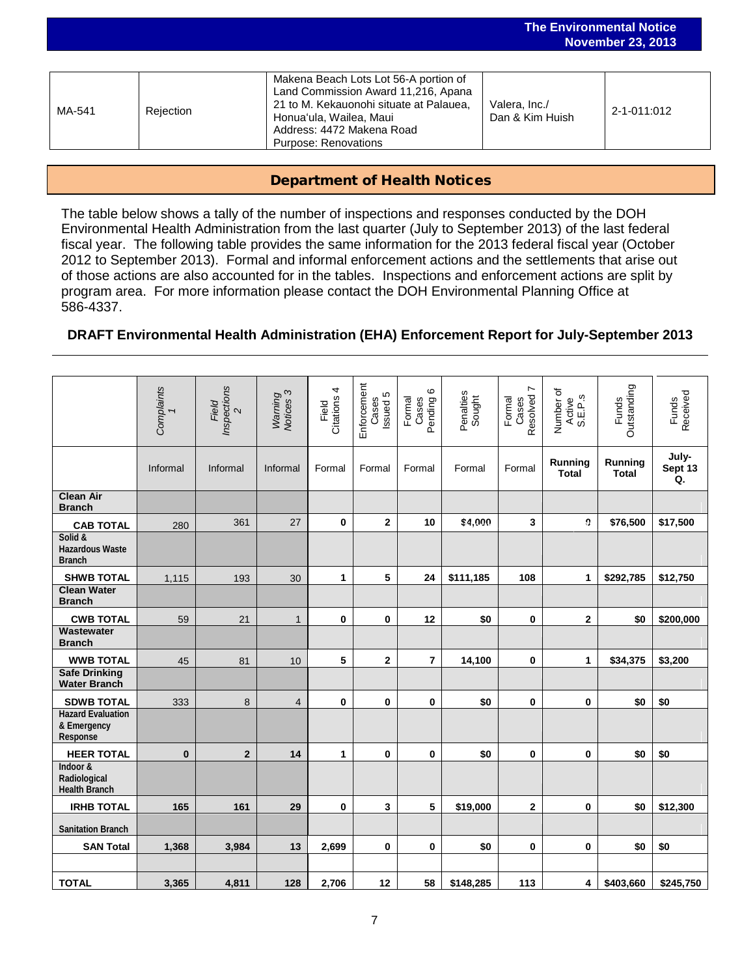|        |           |                                                                                                                                                                                                         |                                  | <b>INUVUIIINUI ZJ, ZUIJ</b> |
|--------|-----------|---------------------------------------------------------------------------------------------------------------------------------------------------------------------------------------------------------|----------------------------------|-----------------------------|
|        |           |                                                                                                                                                                                                         |                                  |                             |
| MA-541 | Rejection | Makena Beach Lots Lot 56-A portion of<br>Land Commission Award 11,216, Apana<br>21 to M. Kekauonohi situate at Palauea,<br>Honua'ula, Wailea, Maui<br>Address: 4472 Makena Road<br>Purpose: Renovations | Valera, Inc./<br>Dan & Kim Huish | 2-1-011:012                 |

**The Environmental Notice November 23, 2013**

### Department of Health Notices

The table below shows a tally of the number of inspections and responses conducted by the DOH Environmental Health Administration from the last quarter (July to September 2013) of the last federal fiscal year. The following table provides the same information for the 2013 federal fiscal year (October 2012 to September 2013). Formal and informal enforcement actions and the settlements that arise out of those actions are also accounted for in the tables. Inspections and enforcement actions are split by program area. For more information please contact the DOH Environmental Planning Office at 586-4337.

# **DRAFT Environmental Health Administration (EHA) Enforcement Report for July-September 2013**

|                                                     | Complaints<br>1 | Inspections<br>Field<br>$\mathbf{\Omega}$ | Warning<br>Notices 3 | 4<br>Citations<br>Field | Enforcement<br>Issued 5<br>Cases | G<br>Formal<br>Cases<br>Pending ( | Penalties<br>Sought | $\overline{ }$<br>Resolved<br>Formal<br>Cases | Number of<br>Active<br>S.E.P.s | Outstanding<br><b>Funds</b>    | Received<br>Funds      |
|-----------------------------------------------------|-----------------|-------------------------------------------|----------------------|-------------------------|----------------------------------|-----------------------------------|---------------------|-----------------------------------------------|--------------------------------|--------------------------------|------------------------|
|                                                     | Informal        | Informal                                  | Informal             | Formal                  | Formal                           | Formal                            | Formal              | Formal                                        | Running<br><b>Total</b>        | <b>Running</b><br><b>Total</b> | July-<br>Sept 13<br>Q. |
| <b>Clean Air</b><br><b>Branch</b>                   |                 |                                           |                      |                         |                                  |                                   |                     |                                               |                                |                                |                        |
| <b>CAB TOTAL</b>                                    | 280             | 361                                       | 27                   | 0                       | $\mathbf{2}$                     | 10                                | \$4,000             | 3                                             | Ű.                             | \$76,500                       | \$17,500               |
| Solid &<br><b>Hazardous Waste</b><br><b>Branch</b>  |                 |                                           |                      |                         |                                  |                                   |                     |                                               |                                |                                |                        |
| <b>SHWB TOTAL</b>                                   | 1,115           | 193                                       | 30                   | 1                       | 5                                | 24                                | \$111,185           | 108                                           | 1                              | \$292,785                      | \$12,750               |
| <b>Clean Water</b><br><b>Branch</b>                 |                 |                                           |                      |                         |                                  |                                   |                     |                                               |                                |                                |                        |
| <b>CWB TOTAL</b>                                    | 59              | 21                                        | $\mathbf{1}$         | 0                       | 0                                | 12                                | \$0                 | 0                                             | $\mathbf{2}$                   | \$0                            | \$200,000              |
| Wastewater<br><b>Branch</b>                         |                 |                                           |                      |                         |                                  |                                   |                     |                                               |                                |                                |                        |
| <b>WWB TOTAL</b>                                    | 45              | 81                                        | 10                   | 5                       | $\mathbf{2}$                     | $\overline{7}$                    | 14,100              | 0                                             | 1                              | \$34,375                       | \$3,200                |
| <b>Safe Drinking</b><br><b>Water Branch</b>         |                 |                                           |                      |                         |                                  |                                   |                     |                                               |                                |                                |                        |
| <b>SDWB TOTAL</b>                                   | 333             | 8                                         | 4                    | $\mathbf 0$             | 0                                | 0                                 | \$0                 | 0                                             | 0                              | \$0                            | \$0                    |
| <b>Hazard Evaluation</b><br>& Emergency<br>Response |                 |                                           |                      |                         |                                  |                                   |                     |                                               |                                |                                |                        |
| <b>HEER TOTAL</b>                                   | $\bf{0}$        | $\mathbf{2}$                              | 14                   | 1                       | 0                                | $\bf{0}$                          | \$0                 | 0                                             | 0                              | \$0                            | \$0                    |
| Indoor &<br>Radiological<br><b>Health Branch</b>    |                 |                                           |                      |                         |                                  |                                   |                     |                                               |                                |                                |                        |
| <b>IRHB TOTAL</b>                                   | 165             | 161                                       | 29                   | 0                       | 3                                | 5                                 | \$19,000            | 2                                             | 0                              | \$0                            | \$12,300               |
| <b>Sanitation Branch</b>                            |                 |                                           |                      |                         |                                  |                                   |                     |                                               |                                |                                |                        |
| <b>SAN Total</b>                                    | 1,368           | 3,984                                     | 13                   | 2,699                   | 0                                | 0                                 | \$0                 | 0                                             | 0                              | \$0                            | \$0                    |
|                                                     |                 |                                           |                      |                         |                                  |                                   |                     |                                               |                                |                                |                        |
| <b>TOTAL</b>                                        | 3,365           | 4,811                                     | 128                  | 2,706                   | 12                               | 58                                | \$148,285           | 113                                           | 4                              | \$403,660                      | \$245,750              |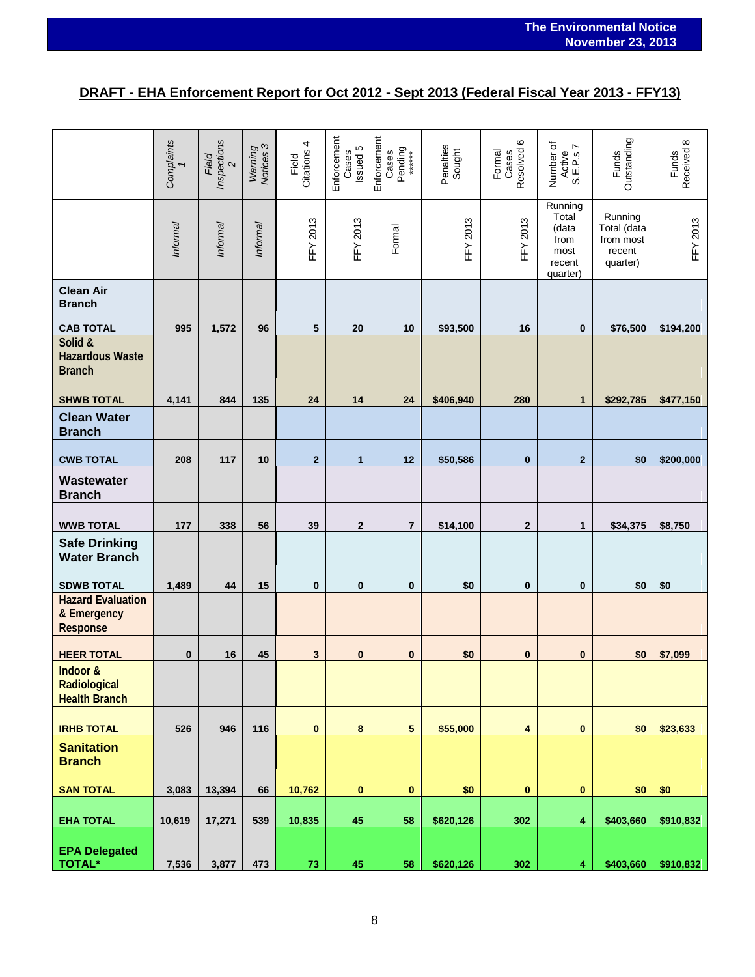# **DRAFT - EHA Enforcement Report for Oct 2012 - Sept 2013 (Federal Fiscal Year 2013 - FFY13)**

|                                                     | Complaints | Inspections<br>Field<br>$\mathbf{\Omega}$ | Warning<br>Notices 3 | 4<br>Citations<br>Field | Enforcement<br>Issued 5<br>Cases | Enforcement<br>Pending<br>******<br>Cases | Penalties<br>Sought | $\pmb{\circ}$<br>Resolved<br>Formal<br>Cases | Number of<br>Ľ<br>Active<br>S.E.P.S                             | Outstanding<br>Funds                                      | Received 8<br>Funds |
|-----------------------------------------------------|------------|-------------------------------------------|----------------------|-------------------------|----------------------------------|-------------------------------------------|---------------------|----------------------------------------------|-----------------------------------------------------------------|-----------------------------------------------------------|---------------------|
|                                                     | Informal   | Informal                                  | Informal             | <b>FFY 2013</b>         | <b>FFY 2013</b>                  | Formal                                    | <b>FFY 2013</b>     | <b>FFY 2013</b>                              | Running<br>Total<br>(data<br>from<br>most<br>recent<br>quarter) | Running<br>Total (data<br>from most<br>recent<br>quarter) | <b>FFY 2013</b>     |
| <b>Clean Air</b><br><b>Branch</b>                   |            |                                           |                      |                         |                                  |                                           |                     |                                              |                                                                 |                                                           |                     |
| <b>CAB TOTAL</b>                                    | 995        | 1,572                                     | 96                   | 5                       | 20                               | 10                                        | \$93,500            | 16                                           | $\bf{0}$                                                        | \$76,500                                                  | \$194,200           |
| Solid &<br><b>Hazardous Waste</b><br><b>Branch</b>  |            |                                           |                      |                         |                                  |                                           |                     |                                              |                                                                 |                                                           |                     |
| <b>SHWB TOTAL</b>                                   | 4,141      | 844                                       | 135                  | 24                      | 14                               | 24                                        | \$406,940           | 280                                          | $\mathbf{1}$                                                    | \$292,785                                                 | \$477,150           |
| <b>Clean Water</b><br><b>Branch</b>                 |            |                                           |                      |                         |                                  |                                           |                     |                                              |                                                                 |                                                           |                     |
| <b>CWB TOTAL</b>                                    | 208        | 117                                       | 10                   | $\overline{2}$          | $\mathbf{1}$                     | 12                                        | \$50,586            | $\bf{0}$                                     | $\overline{2}$                                                  | \$0                                                       | \$200,000           |
| Wastewater<br><b>Branch</b>                         |            |                                           |                      |                         |                                  |                                           |                     |                                              |                                                                 |                                                           |                     |
| <b>WWB TOTAL</b>                                    | 177        | 338                                       | 56                   | 39                      | $\mathbf{2}$                     | $\overline{7}$                            | \$14,100            | $\mathbf{2}$                                 | 1                                                               | \$34,375                                                  | \$8,750             |
| <b>Safe Drinking</b><br><b>Water Branch</b>         |            |                                           |                      |                         |                                  |                                           |                     |                                              |                                                                 |                                                           |                     |
| <b>SDWB TOTAL</b>                                   | 1,489      | 44                                        | 15                   | $\mathbf{0}$            | $\mathbf{0}$                     | $\bf{0}$                                  | \$0                 | $\bf{0}$                                     | $\bf{0}$                                                        | \$0                                                       | \$0                 |
| <b>Hazard Evaluation</b><br>& Emergency<br>Response |            |                                           |                      |                         |                                  |                                           |                     |                                              |                                                                 |                                                           |                     |
| <b>HEER TOTAL</b>                                   | $\bf{0}$   | 16                                        | 45                   | 3                       | $\bf{0}$                         | $\bf{0}$                                  | \$0                 | $\bf{0}$                                     | $\bf{0}$                                                        | \$0                                                       | \$7,099             |
| Indoor &<br>Radiological<br><b>Health Branch</b>    |            |                                           |                      |                         |                                  |                                           |                     |                                              |                                                                 |                                                           |                     |
| <b>IRHB TOTAL</b>                                   | 526        | 946                                       | 116                  | $\pmb{0}$               | 8                                | $\sqrt{5}$                                | \$55,000            | $\overline{\mathbf{4}}$                      | $\bf{0}$                                                        | \$0                                                       | \$23,633            |
| <b>Sanitation</b><br><b>Branch</b>                  |            |                                           |                      |                         |                                  |                                           |                     |                                              |                                                                 |                                                           |                     |
| <b>SAN TOTAL</b>                                    | 3,083      | 13,394                                    | 66                   | 10,762                  | 0                                | $\bf{0}$                                  | \$0                 | 0                                            | $\bf{0}$                                                        | \$0                                                       | \$0                 |
| <b>EHA TOTAL</b>                                    | 10,619     | 17,271                                    | 539                  | 10,835                  | 45                               | 58                                        | \$620,126           | 302                                          | $\blacktriangleleft$                                            | \$403,660                                                 | \$910,832           |
| <b>EPA Delegated</b><br><b>TOTAL*</b>               | 7,536      | 3,877                                     | 473                  | ${\bf 73}$              | 45                               | 58                                        | \$620,126           | 302                                          | $\blacktriangleleft$                                            | \$403,660                                                 | \$910,832           |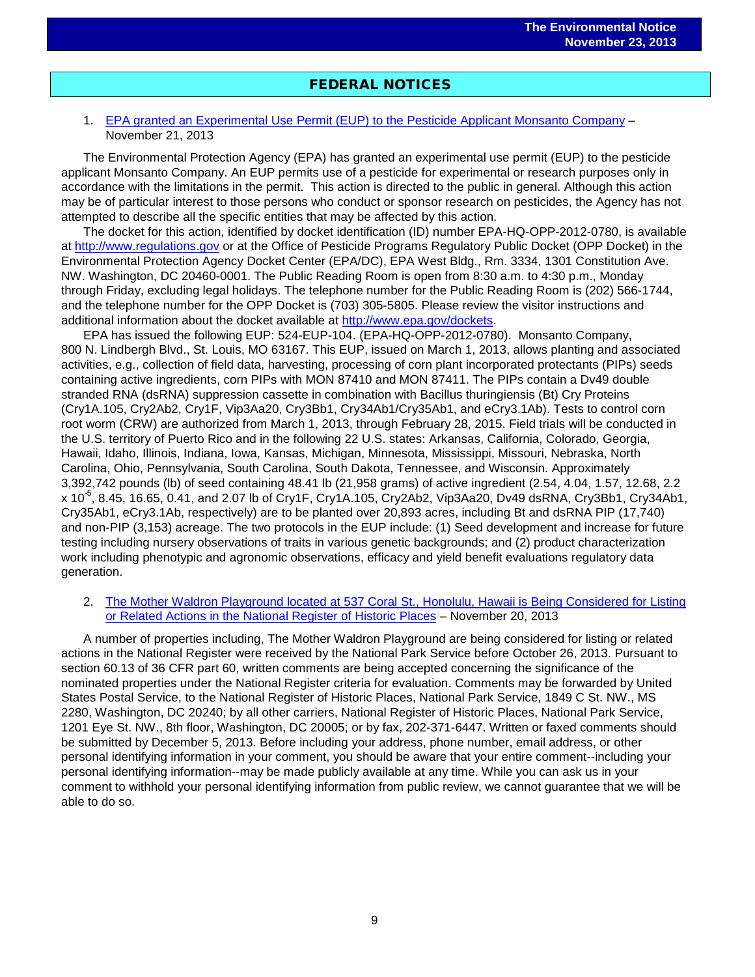# FEDERAL NOTICES

### 1. [EPA granted an Experimental Use Permit \(EUP\) to the Pesticide Applicant Monsanto Company](http://www.gpo.gov/fdsys/pkg/FR-2013-11-21/pdf/2013-27994.pdf) – November 21, 2013

The Environmental Protection Agency (EPA) has granted an experimental use permit (EUP) to the pesticide applicant Monsanto Company. An EUP permits use of a pesticide for experimental or research purposes only in accordance with the limitations in the permit. This action is directed to the public in general. Although this action may be of particular interest to those persons who conduct or sponsor research on pesticides, the Agency has not attempted to describe all the specific entities that may be affected by this action.

The docket for this action, identified by docket identification (ID) number EPA-HQ-OPP-2012-0780, is available at [http://www.regulations.gov](http://www.regulations.gov/) or at the Office of Pesticide Programs Regulatory Public Docket (OPP Docket) in the Environmental Protection Agency Docket Center (EPA/DC), EPA West Bldg., Rm. 3334, 1301 Constitution Ave. NW. Washington, DC 20460-0001. The Public Reading Room is open from 8:30 a.m. to 4:30 p.m., Monday through Friday, excluding legal holidays. The telephone number for the Public Reading Room is (202) 566-1744, and the telephone number for the OPP Docket is (703) 305-5805. Please review the visitor instructions and additional information about the docket available at [http://www.epa.gov/dockets.](http://www.epa.gov/dockets)

EPA has issued the following EUP: 524-EUP-104. (EPA-HQ-OPP-2012-0780). Monsanto Company, 800 N. Lindbergh Blvd., St. Louis, MO 63167. This EUP, issued on March 1, 2013, allows planting and associated activities, e.g., collection of field data, harvesting, processing of corn plant incorporated protectants (PIPs) seeds containing active ingredients, corn PIPs with MON 87410 and MON 87411. The PIPs contain a Dv49 double stranded RNA (dsRNA) suppression cassette in combination with Bacillus thuringiensis (Bt) Cry Proteins (Cry1A.105, Cry2Ab2, Cry1F, Vip3Aa20, Cry3Bb1, Cry34Ab1/Cry35Ab1, and eCry3.1Ab). Tests to control corn root worm (CRW) are authorized from March 1, 2013, through February 28, 2015. Field trials will be conducted in the U.S. territory of Puerto Rico and in the following 22 U.S. states: Arkansas, California, Colorado, Georgia, Hawaii, Idaho, Illinois, Indiana, Iowa, Kansas, Michigan, Minnesota, Mississippi, Missouri, Nebraska, North Carolina, Ohio, Pennsylvania, South Carolina, South Dakota, Tennessee, and Wisconsin. Approximately 3,392,742 pounds (lb) of seed containing 48.41 lb (21,958 grams) of active ingredient (2.54, 4.04, 1.57, 12.68, 2.2 x 10-5 , 8.45, 16.65, 0.41, and 2.07 lb of Cry1F, Cry1A.105, Cry2Ab2, Vip3Aa20, Dv49 dsRNA, Cry3Bb1, Cry34Ab1, Cry35Ab1, eCry3.1Ab, respectively) are to be planted over 20,893 acres, including Bt and dsRNA PIP (17,740) and non-PIP (3,153) acreage. The two protocols in the EUP include: (1) Seed development and increase for future testing including nursery observations of traits in various genetic backgrounds; and (2) product characterization work including phenotypic and agronomic observations, efficacy and yield benefit evaluations regulatory data generation.

### 2. [The Mother Waldron Playground located at 537 Coral St., Honolulu, Hawaii is Being Considered for Listing](http://www.gpo.gov/fdsys/pkg/FR-2013-11-20/pdf/2013-27720.pdf)  [or Related Actions in the National Register of Historic Places](http://www.gpo.gov/fdsys/pkg/FR-2013-11-20/pdf/2013-27720.pdf) – November 20, 2013

A number of properties including, The Mother Waldron Playground are being considered for listing or related actions in the National Register were received by the National Park Service before October 26, 2013. Pursuant to section 60.13 of 36 CFR part 60, written comments are being accepted concerning the significance of the nominated properties under the National Register criteria for evaluation. Comments may be forwarded by United States Postal Service, to the National Register of Historic Places, National Park Service, 1849 C St. NW., MS 2280, Washington, DC 20240; by all other carriers, National Register of Historic Places, National Park Service, 1201 Eye St. NW., 8th floor, Washington, DC 20005; or by fax, 202-371-6447. Written or faxed comments should be submitted by December 5, 2013. Before including your address, phone number, email address, or other personal identifying information in your comment, you should be aware that your entire comment--including your personal identifying information--may be made publicly available at any time. While you can ask us in your comment to withhold your personal identifying information from public review, we cannot guarantee that we will be able to do so.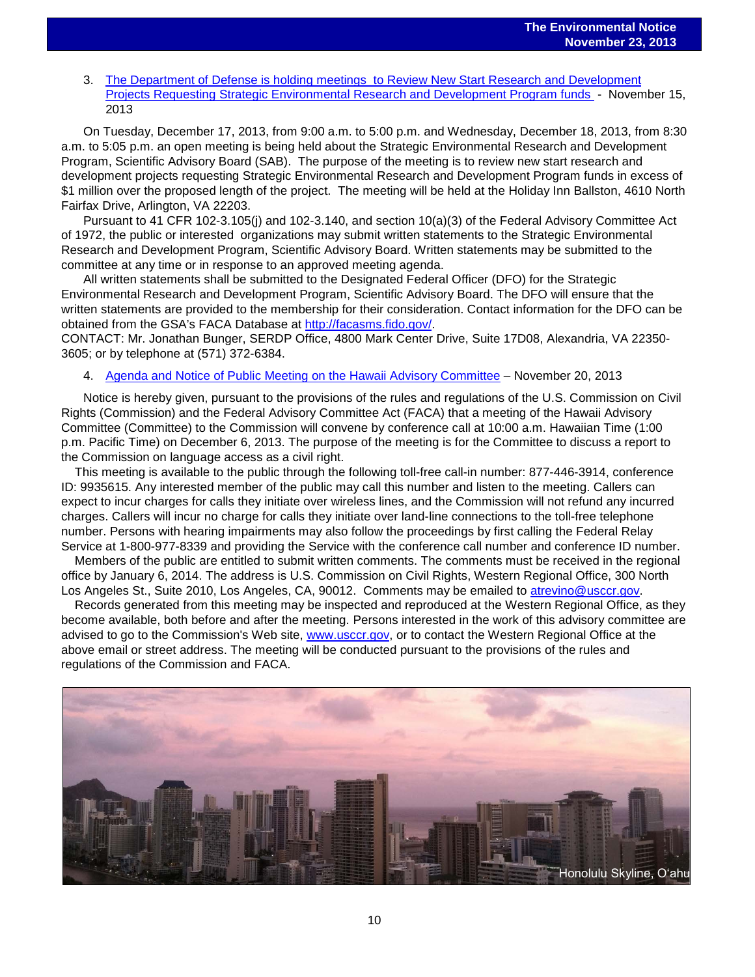3. The Department of Defense is holding [meetings to Review New Start Research and Development](http://www.gpo.gov/fdsys/pkg/FR-2013-11-15/pdf/2013-27378.pdf)  [Projects Requesting Strategic Environmental Research and Development Program funds](http://www.gpo.gov/fdsys/pkg/FR-2013-11-15/pdf/2013-27378.pdf) - November 15, 2013

On Tuesday, December 17, 2013, from 9:00 a.m. to 5:00 p.m. and Wednesday, December 18, 2013, from 8:30 a.m. to 5:05 p.m. an open meeting is being held about the Strategic Environmental Research and Development Program, Scientific Advisory Board (SAB). The purpose of the meeting is to review new start research and development projects requesting Strategic Environmental Research and Development Program funds in excess of \$1 million over the proposed length of the project. The meeting will be held at the Holiday Inn Ballston, 4610 North Fairfax Drive, Arlington, VA 22203.

Pursuant to 41 CFR 102-3.105(j) and 102-3.140, and section 10(a)(3) of the Federal Advisory Committee Act of 1972, the public or interested organizations may submit written statements to the Strategic Environmental Research and Development Program, Scientific Advisory Board. Written statements may be submitted to the committee at any time or in response to an approved meeting agenda.

All written statements shall be submitted to the Designated Federal Officer (DFO) for the Strategic Environmental Research and Development Program, Scientific Advisory Board. The DFO will ensure that the written statements are provided to the membership for their consideration. Contact information for the DFO can be obtained from the GSA's FACA Database at [http://facasms.fido.gov/.](http://facasms.fido.gov/)

CONTACT: Mr. Jonathan Bunger, SERDP Office, 4800 Mark Center Drive, Suite 17D08, Alexandria, VA 22350- 3605; or by telephone at (571) 372-6384.

4. [Agenda and Notice of Public Meeting on the Hawaii Advisory Committee](http://www.gpo.gov/fdsys/pkg/FR-2013-11-20/pdf/2013-27820.pdf) – November 20, 2013

Notice is hereby given, pursuant to the provisions of the rules and regulations of the U.S. Commission on Civil Rights (Commission) and the Federal Advisory Committee Act (FACA) that a meeting of the Hawaii Advisory Committee (Committee) to the Commission will convene by conference call at 10:00 a.m. Hawaiian Time (1:00 p.m. Pacific Time) on December 6, 2013. The purpose of the meeting is for the Committee to discuss a report to the Commission on language access as a civil right.

 This meeting is available to the public through the following toll-free call-in number: 877-446-3914, conference ID: 9935615. Any interested member of the public may call this number and listen to the meeting. Callers can expect to incur charges for calls they initiate over wireless lines, and the Commission will not refund any incurred charges. Callers will incur no charge for calls they initiate over land-line connections to the toll-free telephone number. Persons with hearing impairments may also follow the proceedings by first calling the Federal Relay Service at 1-800-977-8339 and providing the Service with the conference call number and conference ID number.

 Members of the public are entitled to submit written comments. The comments must be received in the regional office by January 6, 2014. The address is U.S. Commission on Civil Rights, Western Regional Office, 300 North Los Angeles St., Suite 2010, Los Angeles, CA, 90012. Comments may be emailed to [atrevino@usccr.gov.](mailto:atrevino@usccr.gov)

 Records generated from this meeting may be inspected and reproduced at the Western Regional Office, as they become available, both before and after the meeting. Persons interested in the work of this advisory committee are advised to go to the Commission's Web site, [www.usccr.gov,](http://www.usccr.gov/) or to contact the Western Regional Office at the above email or street address. The meeting will be conducted pursuant to the provisions of the rules and regulations of the Commission and FACA.